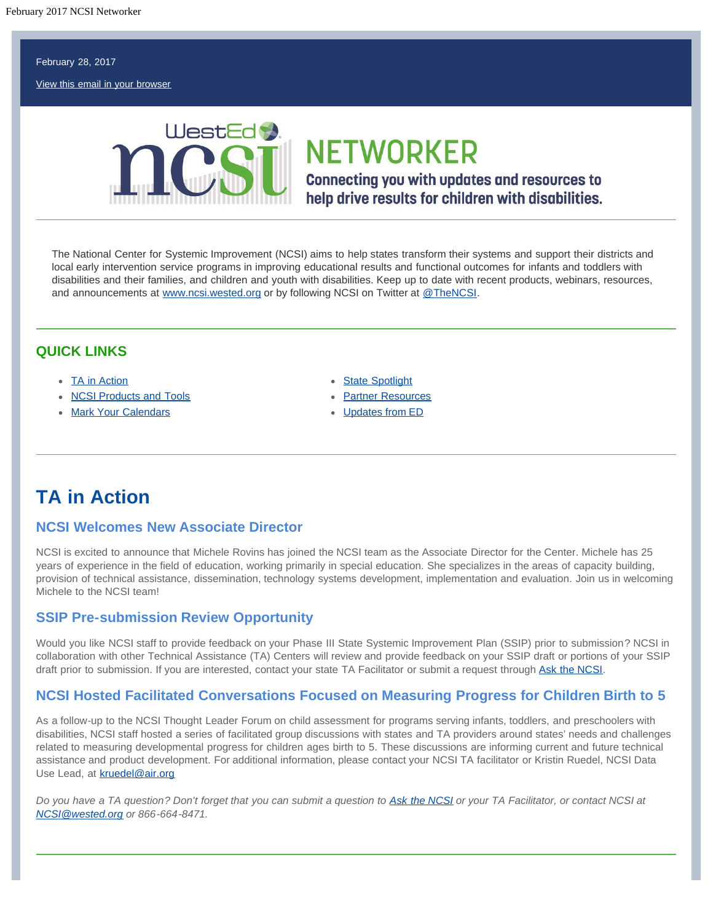#### <span id="page-0-1"></span>February 28, 2017

[View this email in your browser](http://us11.campaign-archive2.com/?u=124d54c6ffba47617c0195645&id=b55d273601&e=[UNIQID])



# **NETWORKER**

**Connecting you with updates and resources to** help drive results for children with disabilities.

The National Center for Systemic Improvement (NCSI) aims to help states transform their systems and support their districts and local early intervention service programs in improving educational results and functional outcomes for infants and toddlers with disabilities and their families, and children and youth with disabilities. Keep up to date with recent products, webinars, resources, and announcements at [www.ncsi.wested.org](http://www.ncsi.wested.org/) or by following NCSI on Twitter at [@TheNCSI.](https://twitter.com/TheNCSI)

#### **QUICK LINKS**

- [TA in Action](#page-0-0)
- [NCSI Products and Tools](#page-0-1)
- [Mark Your Calendars](#page-1-0)
- [State Spotlight](#page-2-0)
- [Partner Resources](#page-0-1)
- [Updates from ED](#page-2-1)

# <span id="page-0-0"></span>**TA in Action**

#### **NCSI Welcomes New Associate Director**

NCSI is excited to announce that Michele Rovins has joined the NCSI team as the Associate Director for the Center. Michele has 25 years of experience in the field of education, working primarily in special education. She specializes in the areas of capacity building, provision of technical assistance, dissemination, technology systems development, implementation and evaluation. Join us in welcoming Michele to the NCSI team!

#### **SSIP Pre-submission Review Opportunity**

Would you like NCSI staff to provide feedback on your Phase III State Systemic Improvement Plan (SSIP) prior to submission? NCSI in collaboration with other Technical Assistance (TA) Centers will review and provide feedback on your SSIP draft or portions of your SSIP draft prior to submission. If you are interested, contact your state TA Facilitator or submit a request through [Ask the NCSI.](https://ncsi.wested.org/ask-the-ncsi/)

#### **NCSI Hosted Facilitated Conversations Focused on Measuring Progress for Children Birth to 5**

As a follow-up to the NCSI Thought Leader Forum on child assessment for programs serving infants, toddlers, and preschoolers with disabilities, NCSI staff hosted a series of facilitated group discussions with states and TA providers around states' needs and challenges related to measuring developmental progress for children ages birth to 5. These discussions are informing current and future technical assistance and product development. For additional information, please contact your NCSI TA facilitator or Kristin Ruedel, NCSI Data Use Lead, at [kruedel@air.org](mailto:kruedel@air.org)

*Do you have a TA question? Don't forget that you can submit a question to [Ask the NCSI](https://ncsi.wested.org/ask-the-ncsi/) or your TA Facilitator, or contact NCSI at [NCSI@wested.org](mailto:NCSI@wested.org) or 866-664-8471.*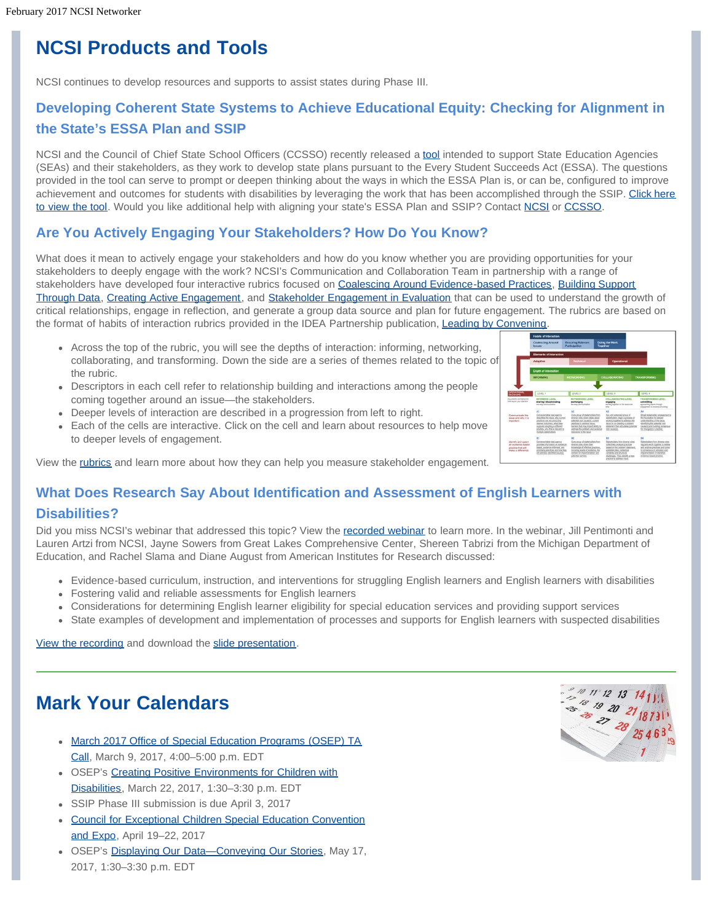# **NCSI Products and Tools**

NCSI continues to develop resources and supports to assist states during Phase III.

# **Developing Coherent State Systems to Achieve Educational Equity: Checking for Alignment in the State's ESSA Plan and SSIP**

NCSI and the Council of Chief State School Officers (CCSSO) recently released a [tool](https://ncsi.wested.org/wp-content/uploads/2017/02/SSIP-ESSA-Allignment-Tool_NCSI-CCSSO_Winter2017.pdf) intended to support State Education Agencies (SEAs) and their stakeholders, as they work to develop state plans pursuant to the Every Student Succeeds Act (ESSA). The questions provided in the tool can serve to prompt or deepen thinking about the ways in which the ESSA Plan is, or can be, configured to improve achievement and outcomes for students with disabilities by leveraging the work that has been accomplished through the SSIP. [Click here](https://ncsi.wested.org/news-events/tool-checking-for-alignment-in-every-student-succeeds-act-plans-and-state-systemic-improvement-plans/) [to view the tool.](https://ncsi.wested.org/news-events/tool-checking-for-alignment-in-every-student-succeeds-act-plans-and-state-systemic-improvement-plans/) Would you like additional help with aligning your state's ESSA Plan and SSIP? Contact [NCSI](https://ncsi.wested.org/ask-the-ncsi/) or [CCSSO.](http://www.ccsso.org/)

### **Are You Actively Engaging Your Stakeholders? How Do You Know?**

What does it mean to actively engage your stakeholders and how do you know whether you are providing opportunities for your stakeholders to deeply engage with the work? NCSI's Communication and Collaboration Team in partnership with a range of stakeholders have developed four interactive rubrics focused on [Coalescing Around Evidence-based Practices,](https://ncsi.wested.org/wp-content/uploads/2017/02/LbC-Rubric-Coalescing-Around-Evidence-Based-Practices.pdf) [Building Support](https://ncsi.wested.org/wp-content/uploads/2017/02/LbC-Rubric-Building-Support-Through-Data.pdf) [Through Data,](https://ncsi.wested.org/wp-content/uploads/2017/02/LbC-Rubric-Building-Support-Through-Data.pdf) [Creating Active Engagement,](https://ncsi.wested.org/wp-content/uploads/2017/02/LbC-Rubric-Creating-Active-Engagement.pdf) and [Stakeholder Engagement in Evaluation](https://ncsi.wested.org/wp-content/uploads/2017/02/LbC-Rubric-Stakeholder-Engagement-in-Evaluation.pdf) that can be used to understand the growth of critical relationships, engage in reflection, and generate a group data source and plan for future engagement. The rubrics are based on the format of habits of interaction rubrics provided in the IDEA Partnership publication, Leading by Convening

- Across the top of the rubric, you will see the depths of interaction: informing, networking, collaborating, and transforming. Down the side are a series of themes related to the topic of the rubric.
- Descriptors in each cell refer to relationship building and interactions among the people coming together around an issue—the stakeholders.
- Deeper levels of interaction are described in a progression from left to right.
- Each of the cells are interactive. Click on the cell and learn about resources to help move to deeper levels of engagement.



View the [rubrics](https://ncsi.wested.org/resources/leading-by-convening/rubrics-to-assess-and-shape-practice/) and learn more about how they can help you measure stakeholder engagement.

## **What Does Research Say About Identification and Assessment of English Learners with Disabilities?**

Did you miss NCSI's webinar that addressed this topic? View the [recorded webinar](https://vimeo.com/191850387) to learn more. In the webinar, Jill Pentimonti and Lauren Artzi from NCSI, Jayne Sowers from Great Lakes Comprehensive Center, Shereen Tabrizi from the Michigan Department of Education, and Rachel Slama and Diane August from American Institutes for Research discussed:

- Evidence-based curriculum, instruction, and interventions for struggling English learners and English learners with disabilities
- Fostering valid and reliable assessments for English learners
- Considerations for determining English learner eligibility for special education services and providing support services
- State examples of development and implementation of processes and supports for English learners with suspected disabilities

[View the recording](https://vimeo.com/191850387) and download the [slide presentation](https://ncsi.wested.org/wp-content/uploads/2016/11/NCSI-ELLs-in-RDA-webinar-FINAL-1019-FINAL-FINAL.pdf).

# <span id="page-1-0"></span>**Mark Your Calendars**

- [March 2017 Office of Special Education Programs \(OSEP\) TA](https://osep.grads360.org/#program/events/4042) [Call,](https://osep.grads360.org/#program/events/4042) March 9, 2017, 4:00–5:00 p.m. EDT
- OSEP's [Creating Positive Environments for Children with](https://www.osepideasthatwork.org/osep-meeting/creating-positive-environments-children-disabilities) [Disabilities,](https://www.osepideasthatwork.org/osep-meeting/creating-positive-environments-children-disabilities) March 22, 2017, 1:30–3:30 p.m. EDT
- SSIP Phase III submission is due April 3, 2017
- [Council for Exceptional Children Special Education Convention](http://www.cecconvention.org/) [and Expo,](http://www.cecconvention.org/) April 19–22, 2017
- OSEP's Displaying Our Data-Conveying Our Stories, May 17, 2017, 1:30–3:30 p.m. EDT

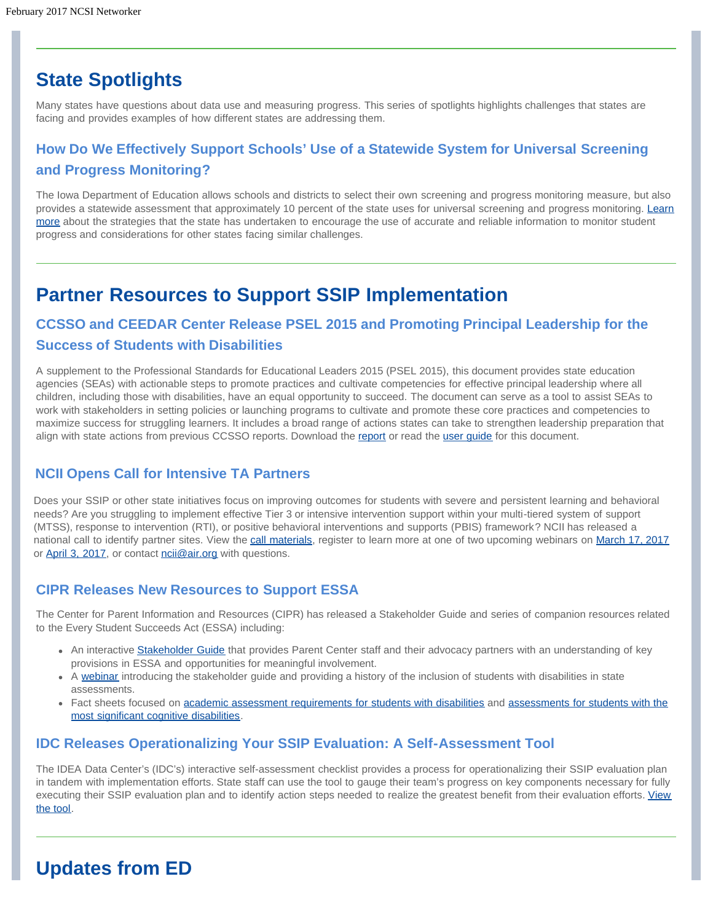# <span id="page-2-0"></span>**State Spotlights**

Many states have questions about data use and measuring progress. This series of spotlights highlights challenges that states are facing and provides examples of how different states are addressing them.

# **How Do We Effectively Support Schools' Use of a Statewide System for Universal Screening and Progress Monitoring?**

The Iowa Department of Education allows schools and districts to select their own screening and progress monitoring measure, but also provides a statewide assessment that approximately 10 percent of the state uses for universal screening and progress monitoring. [Learn](https://ncsi.wested.org/wp-content/uploads/2017/01/2016-12-28__Data-Use-Challenge-Series_IA_final508.pdf) [more](https://ncsi.wested.org/wp-content/uploads/2017/01/2016-12-28__Data-Use-Challenge-Series_IA_final508.pdf) about the strategies that the state has undertaken to encourage the use of accurate and reliable information to monitor student progress and considerations for other states facing similar challenges.

# **Partner Resources to Support SSIP Implementation**

# **CCSSO and CEEDAR Center Release PSEL 2015 and Promoting Principal Leadership for the Success of Students with Disabilities**

A supplement to the Professional Standards for Educational Leaders 2015 (PSEL 2015), this document provides state education agencies (SEAs) with actionable steps to promote practices and cultivate competencies for effective principal leadership where all children, including those with disabilities, have an equal opportunity to succeed. The document can serve as a tool to assist SEAs to work with stakeholders in setting policies or launching programs to cultivate and promote these core practices and competencies to maximize success for struggling learners. It includes a broad range of actions states can take to strengthen leadership preparation that align with state actions from previous CCSSO reports. Download the [report](http://www.ccsso.org/Documents/2017/PSELforSWDs01252017.pdf) or read the user quide for this document.

### **NCII Opens Call for Intensive TA Partners**

Does your SSIP or other state initiatives focus on improving outcomes for students with severe and persistent learning and behavioral needs? Are you struggling to implement effective Tier 3 or intensive intervention support within your multi-tiered system of support (MTSS), response to intervention (RTI), or pos[itive behaviora](http://www.intensiveintervention.org/national-call)l interventions and supports (PBIS) framework? NCII has re[leased a](https://attendee.gotowebinar.com/register/7826573736369424129) nat[ional call to id](https://attendee.gotowebinar.com/register/8100080552315322371)entify part[ner sites. Vie](mailto:ncii@air.org)w the call materials, register to learn more at one of two upcoming webinars on March 17, 2017 or April 3, 2017, or contact noil@air.org with questions.

### **CIPR Releases New Resources to Support ESSA**

The Center for Parent Information and Resources (CIPR) has released a Stakeholder Guide and series of companion resources related to the Every Student Succeeds Act (ESSA) including:

- An interactive [Stakeholder Guide](http://www.parentcenterhub.org/repository/stakeholder-guide-essa/) that provides Parent Center staff and their advocacy partners with an understanding of key provisions in ESSA and opportunities for meaningful involvement.
- A [webinar](http://www.parentcenterhub.org/repository/webinar18-essaguide/) introducing the stakeholder guide and providing a history of the inclusion of students with disabilities in state assessments.
- Fact sheets focused on [academic assessment requirements for students with disabilities](http://www.parentcenterhub.org/repository/essa-fact-sheet-acad-assessments/) and [assessments for students with the](http://www.parentcenterhub.org/repository/essa-fact-sheet-alt-assess/) [most significant cognitive disabilities.](http://www.parentcenterhub.org/repository/essa-fact-sheet-alt-assess/)

### **IDC Releases Operationalizing Your SSIP Evaluation: A Self-Assessment Tool**

The IDEA Data Center's (IDC's) interactive self-assessment checklist provides a process for operationalizing their SSIP evaluation plan in tandem with implementation efforts. State staff can use the tool to gauge their team's progress on key components necessary for fully executing their SSIP evaluation plan and to identify action steps needed to realize the greatest benefit from their evaluation efforts. [View](https://ideadata.org/resource-library/58878c72150ba0c5298b456b/) [the tool.](https://ideadata.org/resource-library/58878c72150ba0c5298b456b/)

# <span id="page-2-1"></span>**Updates from ED**